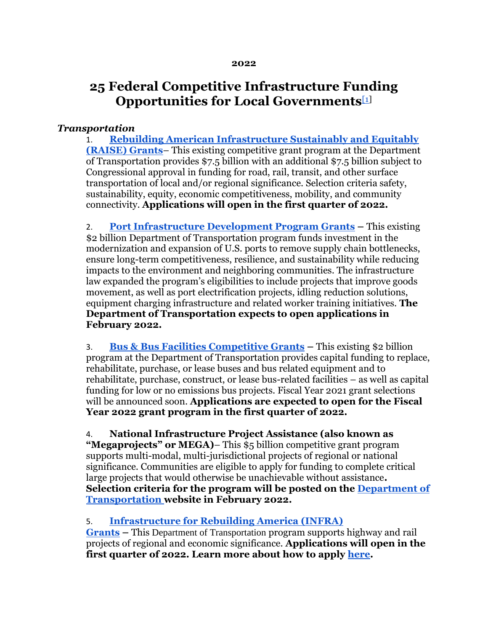#### **2022**

# **25 Federal Competitive Infrastructure Funding Opportunities for Local Governments**[\[1\]](https://mail.google.com/mail/u/0/#m_1588482193761558116__ftn1)

### *Transportation*

1. **[Rebuilding American Infrastructure Sustainably and Equitably](https://urldefense.com/v3/__https:/www.transportation.gov/RAISEgrants__;!!Bg5easoyC-OII2vlEqY8mTBrtW-N4OJKAQ!be4DXMYzvLH3sjCVwFAdkD-0Q2HF9WcucTBJs4nGd4r13iw-oiZB8R_uOp27pCPRQJgjB8hOxyw$)  [\(RAISE\) Grants](https://urldefense.com/v3/__https:/www.transportation.gov/RAISEgrants__;!!Bg5easoyC-OII2vlEqY8mTBrtW-N4OJKAQ!be4DXMYzvLH3sjCVwFAdkD-0Q2HF9WcucTBJs4nGd4r13iw-oiZB8R_uOp27pCPRQJgjB8hOxyw$)**– This existing competitive grant program at the Department of Transportation provides \$7.5 billion with an additional \$7.5 billion subject to Congressional approval in funding for road, rail, transit, and other surface transportation of local and/or regional significance. Selection criteria safety, sustainability, equity, economic competitiveness, mobility, and community connectivity. **Applications will open in the first quarter of 2022.**

2. **[Port Infrastructure Development Program Grants](https://urldefense.com/v3/__https:/www.maritime.dot.gov/PIDPgrants__;!!Bg5easoyC-OII2vlEqY8mTBrtW-N4OJKAQ!be4DXMYzvLH3sjCVwFAdkD-0Q2HF9WcucTBJs4nGd4r13iw-oiZB8R_uOp27pCPRQJgjyrKGB04$) –** This existing \$2 billion Department of Transportation program funds investment in the modernization and expansion of U.S. ports to remove supply chain bottlenecks, ensure long-term competitiveness, resilience, and sustainability while reducing impacts to the environment and neighboring communities. The infrastructure law expanded the program's eligibilities to include projects that improve goods movement, as well as port electrification projects, idling reduction solutions, equipment charging infrastructure and related worker training initiatives. **The Department of Transportation expects to open applications in February 2022.**

3. **[Bus & Bus Facilities Competitive Grants](https://urldefense.com/v3/__https:/www.transit.dot.gov/bus-program__;!!Bg5easoyC-OII2vlEqY8mTBrtW-N4OJKAQ!be4DXMYzvLH3sjCVwFAdkD-0Q2HF9WcucTBJs4nGd4r13iw-oiZB8R_uOp27pCPRQJgjDKqlFFM$) –** This existing \$2 billion program at the Department of Transportation provides capital funding to replace, rehabilitate, purchase, or lease buses and bus related equipment and to rehabilitate, purchase, construct, or lease bus-related facilities – as well as capital funding for low or no emissions bus projects. Fiscal Year 2021 grant selections will be announced soon. **Applications are expected to open for the Fiscal Year 2022 grant program in the first quarter of 2022.**

#### 4. **National Infrastructure Project Assistance (also known as**

**"Megaprojects" or MEGA)**– This \$5 billion competitive grant program supports multi-modal, multi-jurisdictional projects of regional or national significance. Communities are eligible to apply for funding to complete critical large projects that would otherwise be unachievable without assistance**. Selection criteria for the program will be posted on the [Department of](https://urldefense.com/v3/__https:/www.transportation.gov/__;!!Bg5easoyC-OII2vlEqY8mTBrtW-N4OJKAQ!be4DXMYzvLH3sjCVwFAdkD-0Q2HF9WcucTBJs4nGd4r13iw-oiZB8R_uOp27pCPRQJgjLs7maHg$)  [Transportation](https://urldefense.com/v3/__https:/www.transportation.gov/__;!!Bg5easoyC-OII2vlEqY8mTBrtW-N4OJKAQ!be4DXMYzvLH3sjCVwFAdkD-0Q2HF9WcucTBJs4nGd4r13iw-oiZB8R_uOp27pCPRQJgjLs7maHg$) website in February 2022.**

#### 5. **[Infrastructure for Rebuilding America \(INFRA\)](https://urldefense.com/v3/__https:/www.transportation.gov/buildamerica/financing/infra-grants/infrastructure-rebuilding-america__;!!Bg5easoyC-OII2vlEqY8mTBrtW-N4OJKAQ!be4DXMYzvLH3sjCVwFAdkD-0Q2HF9WcucTBJs4nGd4r13iw-oiZB8R_uOp27pCPRQJgj-et2XqE$)**

**[Grants](https://urldefense.com/v3/__https:/www.transportation.gov/buildamerica/financing/infra-grants/infrastructure-rebuilding-america__;!!Bg5easoyC-OII2vlEqY8mTBrtW-N4OJKAQ!be4DXMYzvLH3sjCVwFAdkD-0Q2HF9WcucTBJs4nGd4r13iw-oiZB8R_uOp27pCPRQJgj-et2XqE$) –** This Department of Transportation program supports highway and rail projects of regional and economic significance. **Applications will open in the first quarter of 2022. Learn more about how to apply [here.](https://urldefense.com/v3/__https:/www.transportation.gov/buildamerica/financing/infra-grants/how-apply__;!!Bg5easoyC-OII2vlEqY8mTBrtW-N4OJKAQ!be4DXMYzvLH3sjCVwFAdkD-0Q2HF9WcucTBJs4nGd4r13iw-oiZB8R_uOp27pCPRQJgj1IxbztI$)**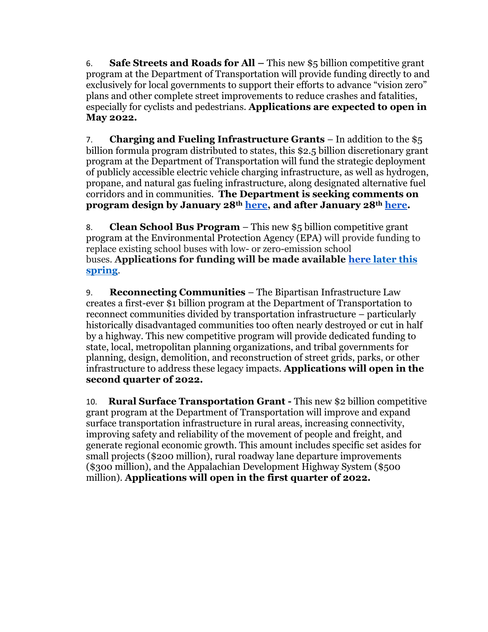6. **Safe Streets and Roads for All –** This new \$5 billion competitive grant program at the Department of Transportation will provide funding directly to and exclusively for local governments to support their efforts to advance "vision zero" plans and other complete street improvements to reduce crashes and fatalities, especially for cyclists and pedestrians. **Applications are expected to open in May 2022.**

7. **Charging and Fueling Infrastructure Grants** – In addition to the \$5 billion formula program distributed to states, this \$2.5 billion discretionary grant program at the Department of Transportation will fund the strategic deployment of publicly accessible electric vehicle charging infrastructure, as well as hydrogen, propane, and natural gas fueling infrastructure, along designated alternative fuel corridors and in communities. **The Department is seeking comments on program design by January 28th [here,](https://urldefense.com/v3/__https:/www.federalregister.gov/documents/2021/11/29/2021-25868/development-of-guidance-for-electric-vehicle-charging-infrastructure-deployment__;!!Bg5easoyC-OII2vlEqY8mTBrtW-N4OJKAQ!be4DXMYzvLH3sjCVwFAdkD-0Q2HF9WcucTBJs4nGd4r13iw-oiZB8R_uOp27pCPRQJgjPqzDa5c$) and after January 28th [here.](https://urldefense.com/v3/__https:/www.federalregister.gov/documents/2021/12/01/2021-26145/infrastructure-and-investment-jobs-act-request-for-information__;!!Bg5easoyC-OII2vlEqY8mTBrtW-N4OJKAQ!be4DXMYzvLH3sjCVwFAdkD-0Q2HF9WcucTBJs4nGd4r13iw-oiZB8R_uOp27pCPRQJgj7OAno10$)**

8. **Clean School Bus Program** – This new \$5 billion competitive grant program at the Environmental Protection Agency (EPA) will provide funding to replace existing school buses with low- or zero-emission school buses. **Applications for funding will be made available [here](https://urldefense.com/v3/__https:/www.epa.gov/cleanschoolbus__;!!Bg5easoyC-OII2vlEqY8mTBrtW-N4OJKAQ!be4DXMYzvLH3sjCVwFAdkD-0Q2HF9WcucTBJs4nGd4r13iw-oiZB8R_uOp27pCPRQJgjtvw06lM$) later this spring**.

9. **Reconnecting Communities** – The Bipartisan Infrastructure Law creates a first-ever \$1 billion program at the Department of Transportation to reconnect communities divided by transportation infrastructure – particularly historically disadvantaged communities too often nearly destroyed or cut in half by a highway. This new competitive program will provide dedicated funding to state, local, metropolitan planning organizations, and tribal governments for planning, design, demolition, and reconstruction of street grids, parks, or other infrastructure to address these legacy impacts. **Applications will open in the second quarter of 2022.**

10. **Rural Surface Transportation Grant -** This new \$2 billion competitive grant program at the Department of Transportation will improve and expand surface transportation infrastructure in rural areas, increasing connectivity, improving safety and reliability of the movement of people and freight, and generate regional economic growth. This amount includes specific set asides for small projects (\$200 million), rural roadway lane departure improvements (\$300 million), and the Appalachian Development Highway System (\$500 million). **Applications will open in the first quarter of 2022.**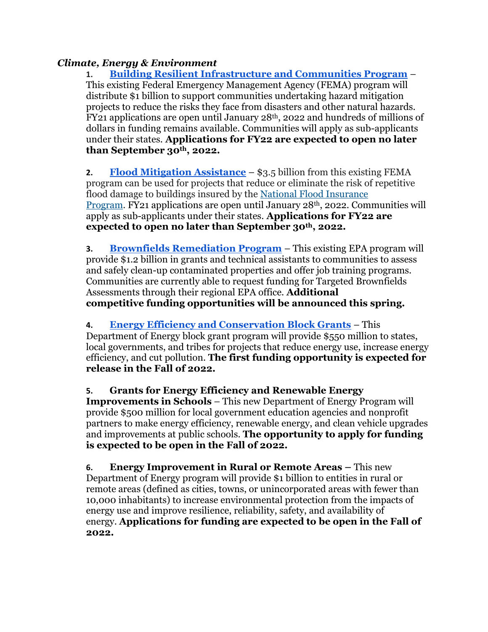## *Climate, Energy & Environment*

**1. [Building Resilient Infrastructure and Communities Program](https://urldefense.com/v3/__https:/www.fema.gov/grants/mitigation/building-resilient-infrastructure-communities*:*:text=Building*20Resilient*20Infrastructure*20and*20Communities*20(BRIC)*20will*20support*20states*2C,from*20disasters*20and*20natural*20hazards.__;I34lJSUlJSUlJSUlJSUl!!Bg5easoyC-OII2vlEqY8mTBrtW-N4OJKAQ!be4DXMYzvLH3sjCVwFAdkD-0Q2HF9WcucTBJs4nGd4r13iw-oiZB8R_uOp27pCPRQJgjV_LTxLA$)** – This existing Federal Emergency Management Agency (FEMA) program will distribute \$1 billion to support communities undertaking hazard mitigation projects to reduce the risks they face from disasters and other natural hazards. FY21 applications are open until January 28th, 2022 and hundreds of millions of dollars in funding remains available. Communities will apply as sub-applicants under their states. **Applications for FY22 are expected to open no later than September 30th, 2022.**

**2. [Flood Mitigation Assistance](https://urldefense.com/v3/__https:/www.fema.gov/grants/mitigation/floods__;!!Bg5easoyC-OII2vlEqY8mTBrtW-N4OJKAQ!be4DXMYzvLH3sjCVwFAdkD-0Q2HF9WcucTBJs4nGd4r13iw-oiZB8R_uOp27pCPRQJgjJzC02mI$)** – \$3.5 billion from this existing FEMA program can be used for projects that reduce or eliminate the risk of repetitive flood damage to buildings insured by the [National Flood Insurance](https://urldefense.com/v3/__https:/www.fema.gov/flood-insurance__;!!Bg5easoyC-OII2vlEqY8mTBrtW-N4OJKAQ!be4DXMYzvLH3sjCVwFAdkD-0Q2HF9WcucTBJs4nGd4r13iw-oiZB8R_uOp27pCPRQJgjwmKU3_E$)  [Program.](https://urldefense.com/v3/__https:/www.fema.gov/flood-insurance__;!!Bg5easoyC-OII2vlEqY8mTBrtW-N4OJKAQ!be4DXMYzvLH3sjCVwFAdkD-0Q2HF9WcucTBJs4nGd4r13iw-oiZB8R_uOp27pCPRQJgjwmKU3_E$) FY21 applications are open until January 28th, 2022. Communities will apply as sub-applicants under their states. **Applications for FY22 are expected to open no later than September 30th, 2022.**

**3. [Brownfields Remediation Program](https://urldefense.com/v3/__https:/www.epa.gov/brownfields__;!!Bg5easoyC-OII2vlEqY8mTBrtW-N4OJKAQ!be4DXMYzvLH3sjCVwFAdkD-0Q2HF9WcucTBJs4nGd4r13iw-oiZB8R_uOp27pCPRQJgjReln4tc$)** – This existing EPA program will provide \$1.2 billion in grants and technical assistants to communities to assess and safely clean-up contaminated properties and offer job training programs. Communities are currently able to request funding for Targeted Brownfields Assessments through their regional EPA office. **Additional competitive funding opportunities will be announced this spring.**

## **4. [Energy Efficiency and Conservation Block Grants](https://urldefense.com/v3/__https:/www.energy.gov/eere/wipo/energy-efficiency-and-conservation-block-grant-program__;!!Bg5easoyC-OII2vlEqY8mTBrtW-N4OJKAQ!be4DXMYzvLH3sjCVwFAdkD-0Q2HF9WcucTBJs4nGd4r13iw-oiZB8R_uOp27pCPRQJgjiRX0QKc$)** – This

Department of Energy block grant program will provide \$550 million to states, local governments, and tribes for projects that reduce energy use, increase energy efficiency, and cut pollution. **The first funding opportunity is expected for release in the Fall of 2022.**

**5. Grants for Energy Efficiency and Renewable Energy Improvements in Schools** – This new Department of Energy Program will provide \$500 million for local government education agencies and nonprofit partners to make energy efficiency, renewable energy, and clean vehicle upgrades and improvements at public schools. **The opportunity to apply for funding is expected to be open in the Fall of 2022.**

**6. Energy Improvement in Rural or Remote Areas –** This new Department of Energy program will provide \$1 billion to entities in rural or remote areas (defined as cities, towns, or unincorporated areas with fewer than 10,000 inhabitants) to increase environmental protection from the impacts of energy use and improve resilience, reliability, safety, and availability of energy. **Applications for funding are expected to be open in the Fall of 2022.**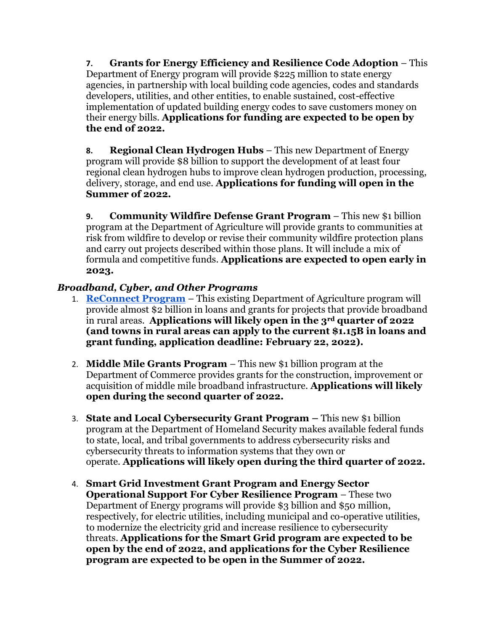**7. Grants for Energy Efficiency and Resilience Code Adoption** – This Department of Energy program will provide \$225 million to state energy agencies, in partnership with local building code agencies, codes and standards developers, utilities, and other entities, to enable sustained, cost-effective implementation of updated building energy codes to save customers money on their energy bills. **Applications for funding are expected to be open by the end of 2022.**

**8. Regional Clean Hydrogen Hubs** – This new Department of Energy program will provide \$8 billion to support the development of at least four regional clean hydrogen hubs to improve clean hydrogen production, processing, delivery, storage, and end use. **Applications for funding will open in the Summer of 2022.**

**9. Community Wildfire Defense Grant Program** – This new \$1 billion program at the Department of Agriculture will provide grants to communities at risk from wildfire to develop or revise their community wildfire protection plans and carry out projects described within those plans. It will include a mix of formula and competitive funds. **Applications are expected to open early in 2023.**

## *Broadband, Cyber, and Other Programs*

- 1. **[ReConnect Program](https://urldefense.com/v3/__https:/www.usda.gov/reconnect__;!!Bg5easoyC-OII2vlEqY8mTBrtW-N4OJKAQ!be4DXMYzvLH3sjCVwFAdkD-0Q2HF9WcucTBJs4nGd4r13iw-oiZB8R_uOp27pCPRQJgjR6Z_mHw$)** This existing Department of Agriculture program will provide almost \$2 billion in loans and grants for projects that provide broadband in rural areas. **Applications will likely open in the 3rd quarter of 2022 (and towns in rural areas can apply to the current \$1.15B in loans and grant funding, application deadline: February 22, 2022).**
- 2. **Middle Mile Grants Program** This new \$1 billion program at the Department of Commerce provides grants for the construction, improvement or acquisition of middle mile broadband infrastructure. **Applications will likely open during the second quarter of 2022.**
- 3. **State and Local Cybersecurity Grant Program –** This new \$1 billion program at the Department of Homeland Security makes available federal funds to state, local, and tribal governments to address cybersecurity risks and cybersecurity threats to information systems that they own or operate. **Applications will likely open during the third quarter of 2022.**
- 4. **Smart Grid Investment Grant Program and Energy Sector Operational Support For Cyber Resilience Program** – These two Department of Energy programs will provide \$3 billion and \$50 million, respectively, for electric utilities, including municipal and co-operative utilities, to modernize the electricity grid and increase resilience to cybersecurity threats. **Applications for the Smart Grid program are expected to be open by the end of 2022, and applications for the Cyber Resilience program are expected to be open in the Summer of 2022.**